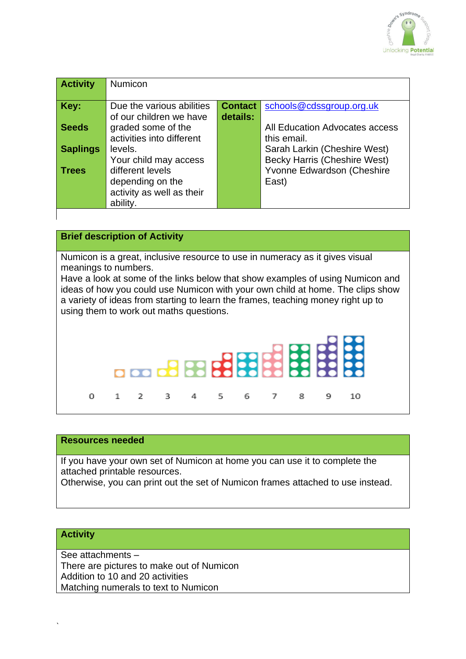

| <b>Activity</b> | <b>Numicon</b>            |                |                                     |
|-----------------|---------------------------|----------------|-------------------------------------|
|                 |                           |                |                                     |
| Key:            | Due the various abilities | <b>Contact</b> | schools@cdssgroup.org.uk            |
|                 | of our children we have   | details:       |                                     |
| <b>Seeds</b>    | graded some of the        |                | All Education Advocates access      |
|                 | activities into different |                | this email.                         |
| <b>Saplings</b> | levels.                   |                | Sarah Larkin (Cheshire West)        |
|                 | Your child may access     |                | <b>Becky Harris (Cheshire West)</b> |
| <b>Trees</b>    | different levels          |                | Yvonne Edwardson (Cheshire          |
|                 | depending on the          |                | East)                               |
|                 | activity as well as their |                |                                     |
|                 | ability.                  |                |                                     |
|                 |                           |                |                                     |

## **Brief description of Activity**

Numicon is a great, inclusive resource to use in numeracy as it gives visual meanings to numbers.

Have a look at some of the links below that show examples of using Numicon and ideas of how you could use Numicon with your own child at home. The clips show a variety of ideas from starting to learn the frames, teaching money right up to using them to work out maths questions.



#### **Resources needed**

If you have your own set of Numicon at home you can use it to complete the attached printable resources.

Otherwise, you can print out the set of Numicon frames attached to use instead.

### **Activity**

`

See attachments –

There are pictures to make out of Numicon Addition to 10 and 20 activities

Matching numerals to text to Numicon